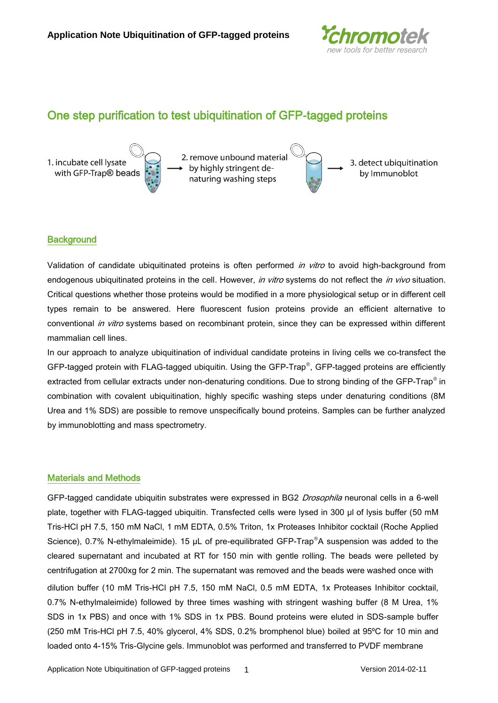

# One step purification to test ubiquitination of GFP-tagged proteins



# **Background**

Validation of candidate ubiquitinated proteins is often performed in vitro to avoid high-background from endogenous ubiquitinated proteins in the cell. However, in vitro systems do not reflect the in vivo situation. Critical questions whether those proteins would be modified in a more physiological setup or in different cell types remain to be answered. Here fluorescent fusion proteins provide an efficient alternative to conventional in vitro systems based on recombinant protein, since they can be expressed within different mammalian cell lines.

In our approach to analyze ubiquitination of individual candidate proteins in living cells we co-transfect the GFP-tagged protein with FLAG-tagged ubiquitin. Using the GFP-Trap<sup>®</sup>, GFP-tagged proteins are efficiently extracted from cellular extracts under non-denaturing conditions. Due to strong binding of the GFP-Trap<sup>®</sup> in combination with covalent ubiquitination, highly specific washing steps under denaturing conditions (8M Urea and 1% SDS) are possible to remove unspecifically bound proteins. Samples can be further analyzed by immunoblotting and mass spectrometry.

# Materials and Methods

GFP-tagged candidate ubiquitin substrates were expressed in BG2 Drosophila neuronal cells in a 6-well plate, together with FLAG-tagged ubiquitin. Transfected cells were lysed in 300 μl of lysis buffer (50 mM Tris-HCl pH 7.5, 150 mM NaCl, 1 mM EDTA, 0.5% Triton, 1x Proteases Inhibitor cocktail (Roche Applied Science), 0.7% N-ethylmaleimide). 15  $\mu$ L of pre-equilibrated GFP-Trap<sup>®</sup>A suspension was added to the cleared supernatant and incubated at RT for 150 min with gentle rolling. The beads were pelleted by centrifugation at 2700xg for 2 min. The supernatant was removed and the beads were washed once with dilution buffer (10 mM Tris-HCl pH 7.5, 150 mM NaCl, 0.5 mM EDTA, 1x Proteases Inhibitor cocktail, 0.7% N-ethylmaleimide) followed by three times washing with stringent washing buffer (8 M Urea, 1% SDS in 1x PBS) and once with 1% SDS in 1x PBS. Bound proteins were eluted in SDS-sample buffer (250 mM Tris-HCl pH 7.5, 40% glycerol, 4% SDS, 0.2% bromphenol blue) boiled at 95ºC for 10 min and loaded onto 4-15% Tris-Glycine gels. Immunoblot was performed and transferred to PVDF membrane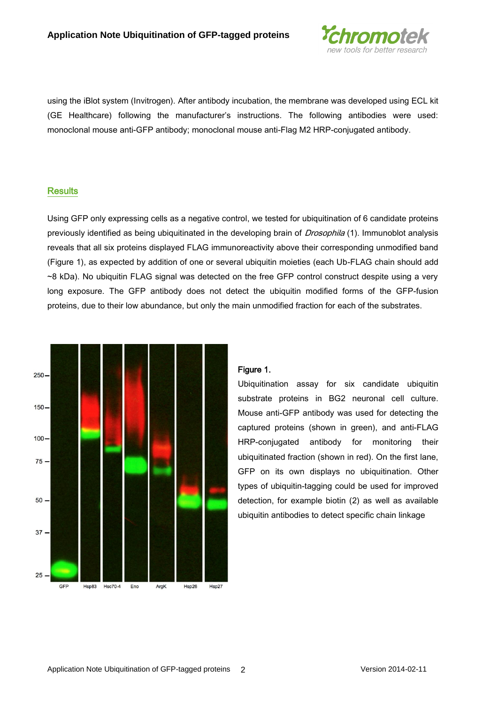

using the iBlot system (Invitrogen). After antibody incubation, the membrane was developed using ECL kit (GE Healthcare) following the manufacturer's instructions. The following antibodies were used: monoclonal mouse anti-GFP antibody; monoclonal mouse anti-Flag M2 HRP-conjugated antibody.

## **Results**

Using GFP only expressing cells as a negative control, we tested for ubiquitination of 6 candidate proteins previously identified as being ubiquitinated in the developing brain of *Drosophila* (1). Immunoblot analysis reveals that all six proteins displayed FLAG immunoreactivity above their corresponding unmodified band (Figure 1), as expected by addition of one or several ubiquitin moieties (each Ub-FLAG chain should add ~8 kDa). No ubiquitin FLAG signal was detected on the free GFP control construct despite using a very long exposure. The GFP antibody does not detect the ubiquitin modified forms of the GFP-fusion proteins, due to their low abundance, but only the main unmodified fraction for each of the substrates.



#### Figure 1.

Ubiquitination assay for six candidate ubiquitin substrate proteins in BG2 neuronal cell culture. Mouse anti-GFP antibody was used for detecting the captured proteins (shown in green), and anti-FLAG HRP-conjugated antibody for monitoring their ubiquitinated fraction (shown in red). On the first lane, GFP on its own displays no ubiquitination. Other types of ubiquitin-tagging could be used for improved detection, for example biotin (2) as well as available ubiquitin antibodies to detect specific chain linkage